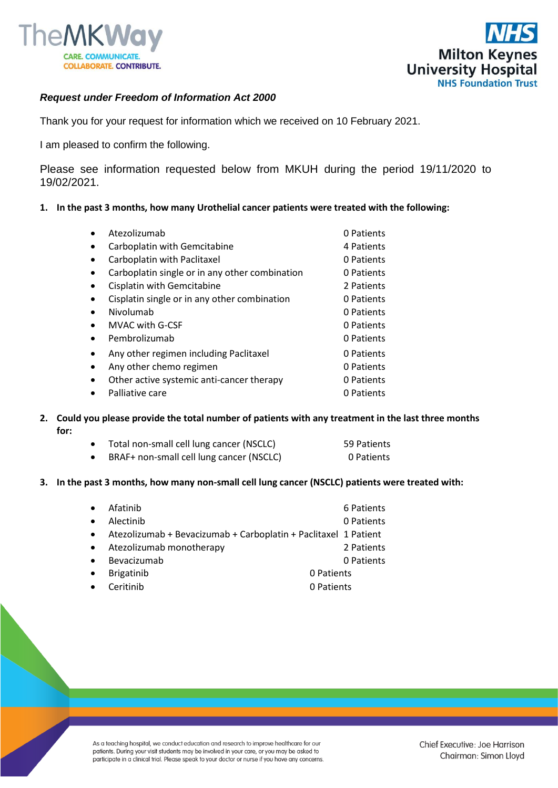



## *Request under Freedom of Information Act 2000*

Thank you for your request for information which we received on 10 February 2021.

I am pleased to confirm the following.

Please see information requested below from MKUH during the period 19/11/2020 to 19/02/2021.

**1. In the past 3 months, how many Urothelial cancer patients were treated with the following:**

|           | Atezolizumab                                   | 0 Patients |
|-----------|------------------------------------------------|------------|
| $\bullet$ | Carboplatin with Gemcitabine                   | 4 Patients |
| $\bullet$ | Carboplatin with Paclitaxel                    | 0 Patients |
| $\bullet$ | Carboplatin single or in any other combination | 0 Patients |
| $\bullet$ | Cisplatin with Gemcitabine                     | 2 Patients |
| $\bullet$ | Cisplatin single or in any other combination   | 0 Patients |
| $\bullet$ | Nivolumab                                      | 0 Patients |
| $\bullet$ | <b>MVAC with G-CSF</b>                         | 0 Patients |
| $\bullet$ | Pembrolizumab                                  | 0 Patients |
| $\bullet$ | Any other regimen including Paclitaxel         | 0 Patients |
| $\bullet$ | Any other chemo regimen                        | 0 Patients |
| $\bullet$ | Other active systemic anti-cancer therapy      | 0 Patients |
|           | Palliative care                                | 0 Patients |
|           |                                                |            |

- **2. Could you please provide the total number of patients with any treatment in the last three months for:**
	- Total non-small cell lung cancer (NSCLC) 59 Patients • BRAF+ non-small cell lung cancer (NSCLC) 0 Patients
- **3. In the past 3 months, how many non-small cell lung cancer (NSCLC) patients were treated with:**

| $\bullet$ | Afatinib                                                        | 6 Patients |  |
|-----------|-----------------------------------------------------------------|------------|--|
| $\bullet$ | Alectinib                                                       | 0 Patients |  |
| $\bullet$ | Atezolizumab + Bevacizumab + Carboplatin + Paclitaxel 1 Patient |            |  |
| $\bullet$ | Atezolizumab monotherapy                                        | 2 Patients |  |
| $\bullet$ | Bevacizumab                                                     | 0 Patients |  |
| $\bullet$ | <b>Brigatinib</b>                                               | 0 Patients |  |
| $\bullet$ | Ceritinib                                                       | 0 Patients |  |
|           |                                                                 |            |  |

As a teaching hospital, we conduct education and research to improve healthcare for our patients. During your visit students may be involved in your care, or you may be asked to participate in a clinical trial. Please speak to your doctor or nurse if you have any concerns.